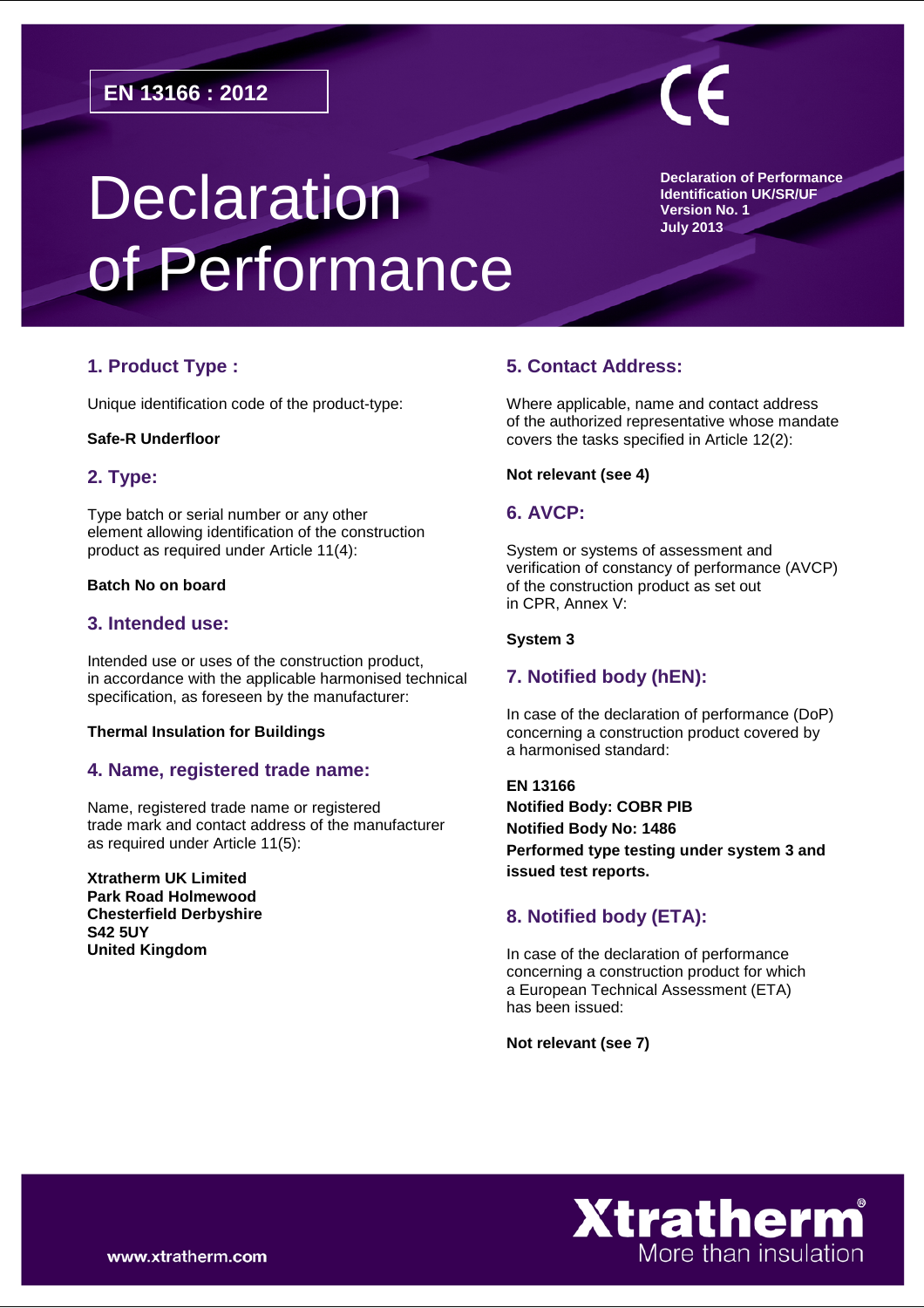# **Declaration** of Performance

**Declaration of Performance Identification UK/SR/UF Version No. 1 July 2013**

# **1. Product Type :**

Unique identification code of the product-type:

#### **Safe-R Underfloor**

# **2. Type:**

Type batch or serial number or any other element allowing identification of the construction product as required under Article 11(4):

#### **Batch No on board**

## **3. Intended use:**

Intended use or uses of the construction product, in accordance with the applicable harmonised technical specification, as foreseen by the manufacturer:

#### **Thermal Insulation for Buildings**

# **4. Name, registered trade name:**

Name, registered trade name or registered trade mark and contact address of the manufacturer as required under Article 11(5):

**Xtratherm UK Limited Park Road Holmewood Chesterfield Derbyshire S42 5UY United Kingdom**

# **5. Contact Address:**

Where applicable, name and contact address of the authorized representative whose mandate covers the tasks specified in Article 12(2):

#### **Not relevant (see 4)**

## **6. AVCP:**

System or systems of assessment and verification of constancy of performance (AVCP) of the construction product as set out in CPR, Annex V:

#### **System 3**

# **7. Notified body (hEN):**

In case of the declaration of performance (DoP) concerning a construction product covered by a harmonised standard:

**EN 13166 Notified Body: COBR PIB Notified Body No: 1486 Performed type testing under system 3 and issued test reports.** 

# **8. Notified body (ETA):**

In case of the declaration of performance concerning a construction product for which a European Technical Assessment (ETA) has been issued:

**Not relevant (see 7)**